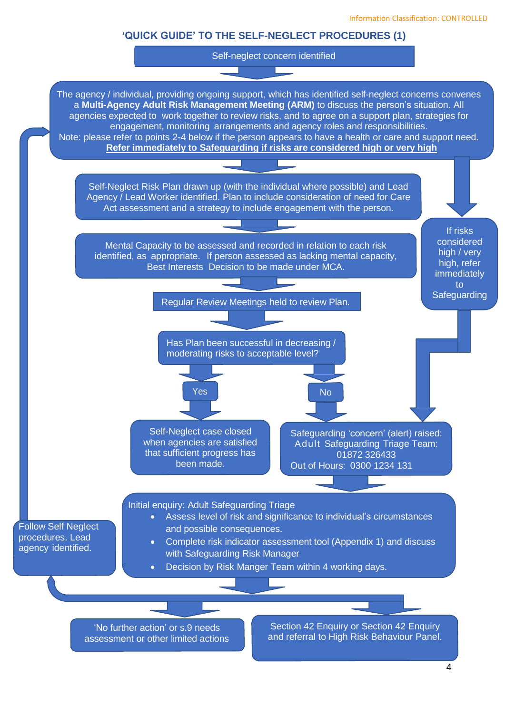## **'QUICK GUIDE' TO THE SELF-NEGLECT PROCEDURES (1)**

Self-neglect concern identified





assessment or other limited actions

and referral to High Risk Behaviour Panel.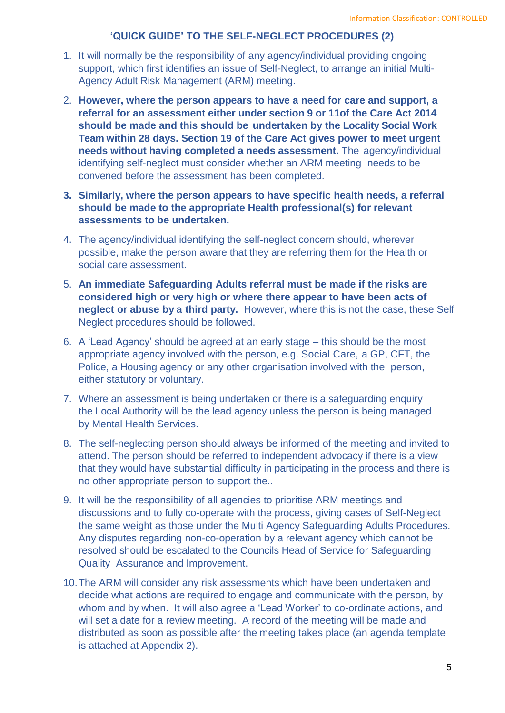## **'QUICK GUIDE' TO THE SELF-NEGLECT PROCEDURES (2)**

- 1. It will normally be the responsibility of any agency/individual providing ongoing support, which first identifies an issue of Self-Neglect, to arrange an initial Multi-Agency Adult Risk Management (ARM) meeting.
- 2. **However, where the person appears to have a need for care and support, a referral for an assessment either under section 9 or 11of the Care Act 2014 should be made and this should be undertaken by the Locality Social Work Team within 28 days. Section 19 of the Care Act gives power to meet urgent needs without having completed a needs assessment.** The agency/individual identifying self-neglect must consider whether an ARM meeting needs to be convened before the assessment has been completed.
- **3. Similarly, where the person appears to have specific health needs, a referral should be made to the appropriate Health professional(s) for relevant assessments to be undertaken.**
- 4. The agency/individual identifying the self-neglect concern should, wherever possible, make the person aware that they are referring them for the Health or social care assessment.
- 5. **An immediate Safeguarding Adults referral must be made if the risks are considered high or very high or where there appear to have been acts of neglect or abuse by a third party.** However, where this is not the case, these Self Neglect procedures should be followed.
- 6. A 'Lead Agency' should be agreed at an early stage this should be the most appropriate agency involved with the person, e.g. Social Care, a GP, CFT, the Police, a Housing agency or any other organisation involved with the person, either statutory or voluntary.
- 7. Where an assessment is being undertaken or there is a safeguarding enquiry the Local Authority will be the lead agency unless the person is being managed by Mental Health Services.
- 8. The self-neglecting person should always be informed of the meeting and invited to attend. The person should be referred to independent advocacy if there is a view that they would have substantial difficulty in participating in the process and there is no other appropriate person to support the..
- 9. It will be the responsibility of all agencies to prioritise ARM meetings and discussions and to fully co-operate with the process, giving cases of Self-Neglect the same weight as those under the Multi Agency Safeguarding Adults Procedures. Any disputes regarding non-co-operation by a relevant agency which cannot be resolved should be escalated to the Councils Head of Service for Safeguarding Quality Assurance and Improvement.
- 10.The ARM will consider any risk assessments which have been undertaken and decide what actions are required to engage and communicate with the person, by whom and by when. It will also agree a 'Lead Worker' to co-ordinate actions, and will set a date for a review meeting. A record of the meeting will be made and distributed as soon as possible after the meeting takes place (an agenda template is attached at Appendix 2).